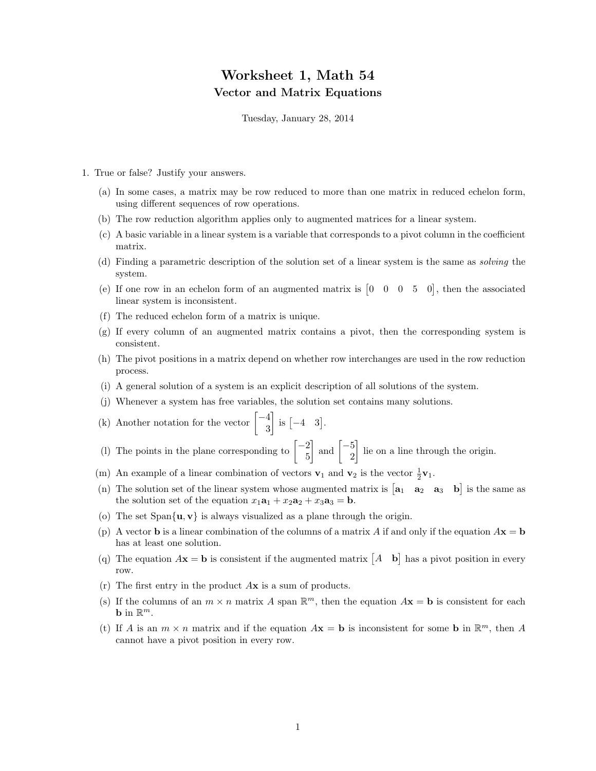## Worksheet 1, Math 54 Vector and Matrix Equations

Tuesday, January 28, 2014

- 1. True or false? Justify your answers.
	- (a) In some cases, a matrix may be row reduced to more than one matrix in reduced echelon form, using different sequences of row operations.
	- (b) The row reduction algorithm applies only to augmented matrices for a linear system.
	- (c) A basic variable in a linear system is a variable that corresponds to a pivot column in the coefficient matrix.
	- (d) Finding a parametric description of the solution set of a linear system is the same as solving the system.
	- (e) If one row in an echelon form of an augmented matrix is  $\begin{bmatrix} 0 & 0 & 0 & 5 & 0 \end{bmatrix}$ , then the associated linear system is inconsistent.
	- (f) The reduced echelon form of a matrix is unique.
	- (g) If every column of an augmented matrix contains a pivot, then the corresponding system is consistent.
	- (h) The pivot positions in a matrix depend on whether row interchanges are used in the row reduction process.
	- (i) A general solution of a system is an explicit description of all solutions of the system.
	- (j) Whenever a system has free variables, the solution set contains many solutions.
	- (k) Another notation for the vector  $\begin{bmatrix} -4 \\ 2 \end{bmatrix}$ 3  $\Big]$  is  $\Big[ -4 \ \ 3 \Big]$ .
	- (1) The points in the plane corresponding to  $\begin{bmatrix} -2 \\ 5 \end{bmatrix}$ 5  $\Big]$  and  $\Big[ -\frac{5}{2}$ 2 lie on a line through the origin.
	- (m) An example of a linear combination of vectors  $\mathbf{v}_1$  and  $\mathbf{v}_2$  is the vector  $\frac{1}{2}\mathbf{v}_1$ .
	- (n) The solution set of the linear system whose augmented matrix is  $\begin{bmatrix} a_1 & a_2 & a_3 & b \end{bmatrix}$  is the same as the solution set of the equation  $x_1a_1 + x_2a_2 + x_3a_3 = b$ .
	- (o) The set  $\text{Span}\{\mathbf{u}, \mathbf{v}\}\$ is always visualized as a plane through the origin.
	- (p) A vector **b** is a linear combination of the columns of a matrix A if and only if the equation  $A\mathbf{x} = \mathbf{b}$ has at least one solution.
	- (q) The equation  $A\mathbf{x} = \mathbf{b}$  is consistent if the augmented matrix  $\begin{bmatrix} A & \mathbf{b} \end{bmatrix}$  has a pivot position in every row.
	- (r) The first entry in the product Ax is a sum of products.
	- (s) If the columns of an  $m \times n$  matrix A span  $\mathbb{R}^m$ , then the equation  $A\mathbf{x} = \mathbf{b}$  is consistent for each **b** in  $\mathbb{R}^m$ .
	- (t) If A is an  $m \times n$  matrix and if the equation  $A\mathbf{x} = \mathbf{b}$  is inconsistent for some  $\mathbf{b}$  in  $\mathbb{R}^m$ , then A cannot have a pivot position in every row.